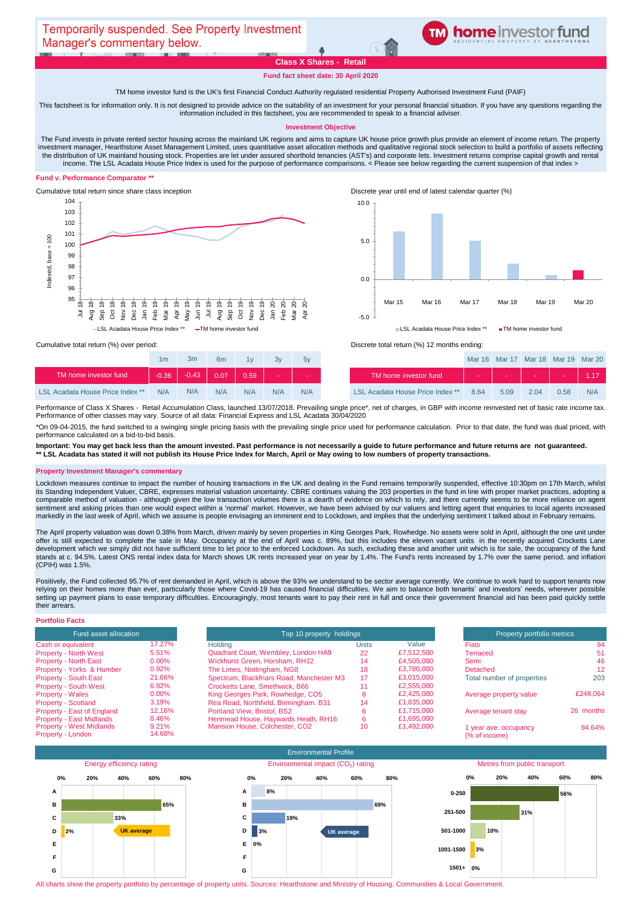# **Class X Shares - Retail**

# **TM** home investor fund

**Fund fact sheet date: 30 April 2020**

TM home investor fund is the UK's first Financial Conduct Authority regulated residential Property Authorised Investment Fund (PAIF)

This factsheet is for information only. It is not designed to provide advice on the suitability of an investment for your personal financial situation. If you have any questions regarding the information included in this factsheet, you are recommended to speak to a financial adviser.

#### **Investment Objective**

The Fund invests in private rented sector housing across the mainland UK regions and aims to capture UK house price growth plus provide an element of income return. The property investment manager, Hearthstone Asset Management Limited, uses quantitative asset allocation methods and qualitative regional stock selection to build a portfolio of assets reflecting the distribution of UK mainland housing stock. Properties are let under assured shorthold tenancies (AST's) and corporate lets. Investment returns comprise capital growth and rental income. The LSL Acadata House Price Index is used for the purpose of performance comparisons. < Please see below regarding the current suspension of that index >

### **Fund v. Performance Comparator \*\***







|                                         | 1 <sub>m</sub> | 3m      | 6 <sub>m</sub> | 1v   | 3v  | 5v  |                                         |
|-----------------------------------------|----------------|---------|----------------|------|-----|-----|-----------------------------------------|
| TM home investor fund                   | $-0.36$        | $-0.43$ | 0.07           | 0.59 |     | . . | TM home investor fund                   |
| <b>LSL Acadata House Price Index **</b> | N/A            | N/A     | N/A            | N/A  | N/A | N/A | <b>LSL Acadata House Price Index **</b> |

Cumulative total return (%) over period: <br>
Cumulative total return (%) over period: <br>
Discrete total return (%) 12 months ending:

| 1 <sub>m</sub> | 3m      | 6 <sub>m</sub> | 1 <sub>1</sub> | 3v  | 5v  |                                         |      | Mar 16 Mar 17 Mar 18 Mar 19 Mar 20 |      |      |     |
|----------------|---------|----------------|----------------|-----|-----|-----------------------------------------|------|------------------------------------|------|------|-----|
| $-0.36$        | $-0.43$ | 0.07           | 0.59           |     |     | TM home investor fund                   |      |                                    |      |      |     |
| N/A            | N/A     | N/A            | N/A            | N/A | N/A | <b>LSL Acadata House Price Index **</b> | 8.64 | 5.09                               | 2.04 | 0.58 | N/A |

Performance of Class X Shares - Retail Accumulation Class, launched 13/07/2018. Prevailing single price\*, net of charges, in GBP with income reinvested net of basic rate income tax. Performance of other classes may vary. Source of all data: Financial Express and LSL Acadata 30/04/2020

\*On 09-04-2015, the fund switched to a swinging single pricing basis with the prevailing single price used for performance calculation. Prior to that date, the fund was dual priced, with performance calculated on a bid-to-bid basis.

**Important: You may get back less than the amount invested. Past performance is not necessarily a guide to future performance and future returns are not guaranteed. \*\* LSL Acadata has stated it will not publish its House Price Index for March, April or May owing to low numbers of property transactions.** 

#### **Property Investment Manager's commentary**

Lockdown measures continue to impact the number of housing transactions in the UK and dealing in the Fund remains temporarily suspended, effective 10:30pm on 17th March, whilst its Standing Independent Valuer, CBRE, expresses material valuation uncertainty. CBRE continues valuing the 203 properties in the fund in line with proper market practices, adopting a comparable method of valuation - although given the low transaction volumes there is a dearth of evidence on which to rely, and there currently seems to be more reliance on agent sentiment and asking prices than one would expect within a 'normal' market. However, we have been advised by our valuers and letting agent that enquiries to local agents increased markedly in the last week of April, which we assume is people envisaging an imminent end to Lockdown, and implies that the underlying sentiment I talked about in February remains.

The April property valuation was down 0.38% from March, driven mainly by seven properties in King Georges Park, Rowhedge. No assets were sold in April, although the one unit under offer is still expected to complete the sale in May. Occupancy at the end of April was c. 89%, but this includes the eleven vacant units in the recently acquired Crocketts Lane development which we simply did not have sufficient time to let prior to the enforced Lockdown. As such, excluding these and another unit which is for sale, the occupancy of the fund stands at c. 94.5%. Latest ONS rental index data for March shows UK rents increased year on year by 1.4%. The Fund's rents increased by 1.7% over the same period, and inflation (CPIH) was 1.5%.

Positively, the Fund collected 95.7% of rent demanded in April, which is above the 93% we understand to be sector average currently. We continue to work hard to support tenants now relying on their homes more than ever, particularly those where Covid-19 has caused financial difficulties. We aim to balance both tenants' and investors' needs, wherever possible setting up payment plans to ease temporary difficulties. Encouragingly, most tenants want to pay their rent in full and once their government financial aid has been paid quickly settle their arrears.

# **Portfolio Facts**

| Fund asset allocation           |        | Top 10 property holdings                  |                 | Property portfolio metrics |                            |           |
|---------------------------------|--------|-------------------------------------------|-----------------|----------------------------|----------------------------|-----------|
| Cash or equivalent              | 17.27% | Holding                                   | Units           | Value                      | <b>Flats</b>               | 94        |
| <b>Property - North West</b>    | 5.51%  | Quadrant Court, Wembley, London HA9       | 22              | £7.512.500                 | Terraced                   | 51        |
| <b>Property - North East</b>    | 0.00%  | Wickhurst Green, Horsham, RH12            | 14              | £4,505,000                 | Semi                       | 46        |
| Property - Yorks & Humber       | 0.92%  | The Limes, Nottingham, NG8                | 18              | £3.780,000                 | Detached                   | 12        |
| <b>Property - South East</b>    | 21.66% | Spectrum, Blackfriars Road, Manchester M3 | 17              | £3.015.000                 | Total number of properties | 203       |
| <b>Property - South West</b>    | 6.92%  | Crocketts Lane, Smethwick, B66            | 11              | £2,555,000                 |                            |           |
| <b>Property - Wales</b>         | 0.00%  | King Georges Park, Rowhedge, CO5          | 8               | £2,425,000                 | Average property value     | £248.064  |
| Property - Scotland             | 3.19%  | Rea Road, Northfield, Birmingham. B31     | 14              | £1.835,000                 |                            |           |
| Property - East of England      | 12.16% | Portland View, Bristol, BS2               | 6               | £1.715,000                 | Average tenant stay        | 26 months |
| <b>Property - East Midlands</b> | 8.46%  | Henmead House, Haywards Heath, RH16       | 6.              | £1.695.000                 |                            |           |
| <b>Property - West Midlands</b> | 9.21%  | Mansion House, Colchester, CO2            | 10 <sup>°</sup> | £1,492,000                 | 1 year ave. occupancy      | 94.64%    |
| Property - London               | 14.68% |                                           |                 |                            | (% of income)              |           |

| <b>Property portfolio metrics</b>      |           |  |  |  |  |  |
|----------------------------------------|-----------|--|--|--|--|--|
| <b>Flats</b>                           | 94        |  |  |  |  |  |
| Terraced                               | 51        |  |  |  |  |  |
| Semi                                   | 46        |  |  |  |  |  |
| Detached                               | 12        |  |  |  |  |  |
| Total number of properties             | 203       |  |  |  |  |  |
| Average property value                 | £248.064  |  |  |  |  |  |
| Average tenant stay                    | 26 months |  |  |  |  |  |
| 1 year ave. occupancy<br>(% of income) | 94.64%    |  |  |  |  |  |



All charts show the property portfolio by percentage of property units. Sources: Hearthstone and Ministry of Housing, Communities & Local Government.